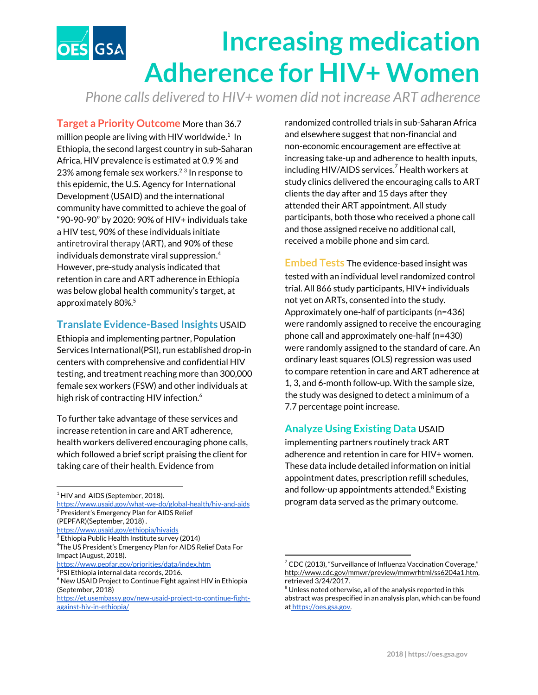# **Increasing medication** ES GSA **Adherence for HIV+ Women**

*Phone calls delivered to HIV+ women did not increase ART adherence*

**Target a Priority Outcome** More than 36.7 million people are living with HIV worldwide. $1$  In Ethiopia, the second largest country in sub-Saharan Africa, HIV prevalence is estimated at 0.9 % and 23% among female sex workers.<sup>23</sup> In response to this epidemic, the U.S. Agency for International Development (USAID) and the international community have committed to achieve the goal of "90-90-90" by 2020: 90% of HIV+ individuals take a HIV test, 90% of these individuals initiate antiretroviral therapy (ART), and 90% of these individuals demonstrate viral suppression. 4 However, pre-study analysis indicated that retention in care and ART adherence in Ethiopia was below global health community's target, at approximately 80%. 5

## **Translate Evidence-Based Insights** USAID

Ethiopia and implementing partner, Population Services International(PSI), run established drop-in centers with comprehensive and confidential HIV testing, and treatment reaching more than 300,000 female sex workers (FSW) and other individuals at high risk of contracting HIV infection. 6

To further take advantage of these services and increase retention in care and ART adherence, health workers delivered encouraging phone calls, which followed a brief script praising the client for taking care of their health. Evidence from

- <https://www.usaid.gov/what-we-do/global-health/hiv-and-aids> <sup>2</sup> President's Emergency Plan for AIDS Relief
- (PEPFAR)(September, 2018) .
- <https://www.usaid.gov/ethiopia/hivaids>  $^3$  Ethiopia Public Health Institute survey (2014)

randomized controlled trials in sub-Saharan Africa and elsewhere suggest that non-financial and non-economic encouragement are effective at increasing take-up and adherence to health inputs, including HIV/AIDS services. $^7$  Health workers at study clinics delivered the encouraging calls to ART clients the day after and 15 days after they attended their ART appointment. All study participants, both those who received a phone call and those assigned receive no additional call, received a mobile phone and sim card.

**Embed Tests** The evidence-based insight was tested with an individual level randomized control trial. All 866 study participants, HIV+ individuals not yet on ARTs, consented into the study. Approximately one-half of participants (n=436) were randomly assigned to receive the encouraging phone call and approximately one-half (n=430) were randomly assigned to the standard of care. An ordinary least squares (OLS) regression was used to compare retention in care and ART adherence at 1, 3, and 6-month follow-up. With the sample size, the study was designed to detect a minimum of a 7.7 percentage point increase.

## **Analyze Using Existing Data** USAID

implementing partners routinely track ART adherence and retention in care for HIV+ women. These data include detailed information on initial appointment dates, prescription refill schedules, and follow-up appointments attended.<sup>8</sup> Existing program data served as the primary outcome.

 $<sup>1</sup>$  HIV and AIDS (September, 2018).</sup>

<sup>4</sup>The US President's Emergency Plan for AIDS Relief Data For Impact (August, 2018).

<https://www.pepfar.gov/priorities/data/index.htm>  $5$ PSI Ethiopia internal data records, 2016.

 $6$  New USAID Project to Continue Fight against HIV in Ethiopia (September, 2018)

[https://et.usembassy.gov/new-usaid-project-to-continue-fight](https://et.usembassy.gov/new-usaid-project-to-continue-fight-against-hiv-in-ethiopia/)[against-hiv-in-ethiopia/](https://et.usembassy.gov/new-usaid-project-to-continue-fight-against-hiv-in-ethiopia/)

 $7$  CDC (2013), "Surveillance of Influenza Vaccination Coverage," <http://www.cdc.gov/mmwr/preview/mmwrhtml/ss6204a1.htm>, retrieved 3/24/2017.

 $8$  Unless noted otherwise, all of the analysis reported in this abstract was prespecified in an analysis plan, which can be found at [https://oes.gsa.gov.](https://oes.gsa.gov/)